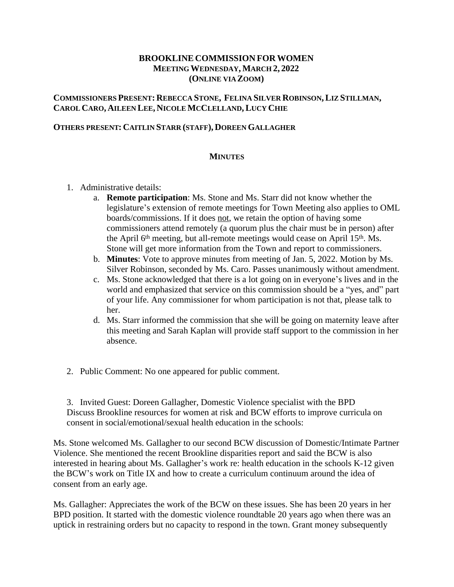## **BROOKLINE COMMISSION FORWOMEN MEETING WEDNESDAY, MARCH 2, 2022 (ONLINE VIA ZOOM)**

## **COMMISSIONERS PRESENT: REBECCA STONE, FELINA SILVER ROBINSON,LIZ STILLMAN, CAROL CARO, AILEEN LEE, NICOLE MCCLELLAND,LUCY CHIE**

## **OTHERS PRESENT: CAITLIN STARR (STAFF), DOREEN GALLAGHER**

## **MINUTES**

- 1. Administrative details:
	- a. **Remote participation**: Ms. Stone and Ms. Starr did not know whether the legislature's extension of remote meetings for Town Meeting also applies to OML boards/commissions. If it does not, we retain the option of having some commissioners attend remotely (a quorum plus the chair must be in person) after the April 6<sup>th</sup> meeting, but all-remote meetings would cease on April 15<sup>th</sup>. Ms. Stone will get more information from the Town and report to commissioners.
	- b. **Minutes**: Vote to approve minutes from meeting of Jan. 5, 2022. Motion by Ms. Silver Robinson, seconded by Ms. Caro. Passes unanimously without amendment.
	- c. Ms. Stone acknowledged that there is a lot going on in everyone's lives and in the world and emphasized that service on this commission should be a "yes, and" part of your life. Any commissioner for whom participation is not that, please talk to her.
	- d. Ms. Starr informed the commission that she will be going on maternity leave after this meeting and Sarah Kaplan will provide staff support to the commission in her absence.
- 2. Public Comment: No one appeared for public comment.

3. Invited Guest: Doreen Gallagher, Domestic Violence specialist with the BPD Discuss Brookline resources for women at risk and BCW efforts to improve curricula on consent in social/emotional/sexual health education in the schools:

Ms. Stone welcomed Ms. Gallagher to our second BCW discussion of Domestic/Intimate Partner Violence. She mentioned the recent Brookline disparities report and said the BCW is also interested in hearing about Ms. Gallagher's work re: health education in the schools K-12 given the BCW's work on Title IX and how to create a curriculum continuum around the idea of consent from an early age.

Ms. Gallagher: Appreciates the work of the BCW on these issues. She has been 20 years in her BPD position. It started with the domestic violence roundtable 20 years ago when there was an uptick in restraining orders but no capacity to respond in the town. Grant money subsequently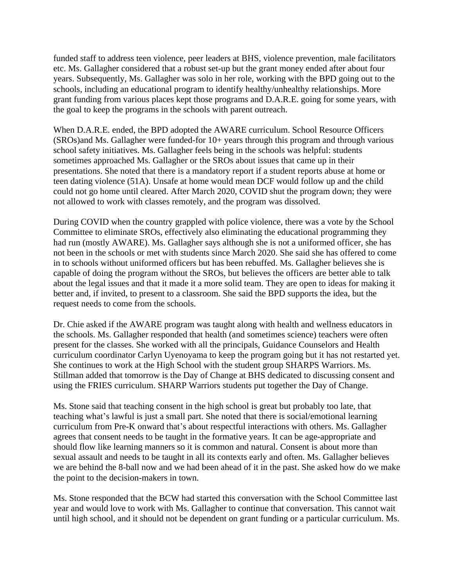funded staff to address teen violence, peer leaders at BHS, violence prevention, male facilitators etc. Ms. Gallagher considered that a robust set-up but the grant money ended after about four years. Subsequently, Ms. Gallagher was solo in her role, working with the BPD going out to the schools, including an educational program to identify healthy/unhealthy relationships. More grant funding from various places kept those programs and D.A.R.E. going for some years, with the goal to keep the programs in the schools with parent outreach.

When D.A.R.E. ended, the BPD adopted the AWARE curriculum. School Resource Officers (SROs)and Ms. Gallagher were funded-for 10+ years through this program and through various school safety initiatives. Ms. Gallagher feels being in the schools was helpful: students sometimes approached Ms. Gallagher or the SROs about issues that came up in their presentations. She noted that there is a mandatory report if a student reports abuse at home or teen dating violence (51A). Unsafe at home would mean DCF would follow up and the child could not go home until cleared. After March 2020, COVID shut the program down; they were not allowed to work with classes remotely, and the program was dissolved.

During COVID when the country grappled with police violence, there was a vote by the School Committee to eliminate SROs, effectively also eliminating the educational programming they had run (mostly AWARE). Ms. Gallagher says although she is not a uniformed officer, she has not been in the schools or met with students since March 2020. She said she has offered to come in to schools without uniformed officers but has been rebuffed. Ms. Gallagher believes she is capable of doing the program without the SROs, but believes the officers are better able to talk about the legal issues and that it made it a more solid team. They are open to ideas for making it better and, if invited, to present to a classroom. She said the BPD supports the idea, but the request needs to come from the schools.

Dr. Chie asked if the AWARE program was taught along with health and wellness educators in the schools. Ms. Gallagher responded that health (and sometimes science) teachers were often present for the classes. She worked with all the principals, Guidance Counselors and Health curriculum coordinator Carlyn Uyenoyama to keep the program going but it has not restarted yet. She continues to work at the High School with the student group SHARPS Warriors. Ms. Stillman added that tomorrow is the Day of Change at BHS dedicated to discussing consent and using the FRIES curriculum. SHARP Warriors students put together the Day of Change.

Ms. Stone said that teaching consent in the high school is great but probably too late, that teaching what's lawful is just a small part. She noted that there is social/emotional learning curriculum from Pre-K onward that's about respectful interactions with others. Ms. Gallagher agrees that consent needs to be taught in the formative years. It can be age-appropriate and should flow like learning manners so it is common and natural. Consent is about more than sexual assault and needs to be taught in all its contexts early and often. Ms. Gallagher believes we are behind the 8-ball now and we had been ahead of it in the past. She asked how do we make the point to the decision-makers in town.

Ms. Stone responded that the BCW had started this conversation with the School Committee last year and would love to work with Ms. Gallagher to continue that conversation. This cannot wait until high school, and it should not be dependent on grant funding or a particular curriculum. Ms.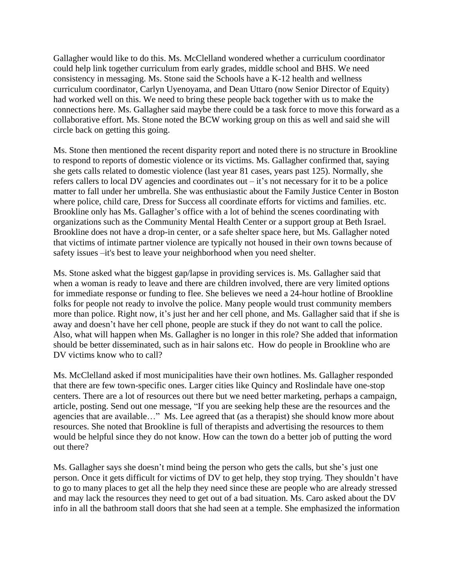Gallagher would like to do this. Ms. McClelland wondered whether a curriculum coordinator could help link together curriculum from early grades, middle school and BHS. We need consistency in messaging. Ms. Stone said the Schools have a K-12 health and wellness curriculum coordinator, Carlyn Uyenoyama, and Dean Uttaro (now Senior Director of Equity) had worked well on this. We need to bring these people back together with us to make the connections here. Ms. Gallagher said maybe there could be a task force to move this forward as a collaborative effort. Ms. Stone noted the BCW working group on this as well and said she will circle back on getting this going.

Ms. Stone then mentioned the recent disparity report and noted there is no structure in Brookline to respond to reports of domestic violence or its victims. Ms. Gallagher confirmed that, saying she gets calls related to domestic violence (last year 81 cases, years past 125). Normally, she refers callers to local DV agencies and coordinates out – it's not necessary for it to be a police matter to fall under her umbrella. She was enthusiastic about the Family Justice Center in Boston where police, child care, Dress for Success all coordinate efforts for victims and families. etc. Brookline only has Ms. Gallagher's office with a lot of behind the scenes coordinating with organizations such as the Community Mental Health Center or a support group at Beth Israel. Brookline does not have a drop-in center, or a safe shelter space here, but Ms. Gallagher noted that victims of intimate partner violence are typically not housed in their own towns because of safety issues –it's best to leave your neighborhood when you need shelter.

Ms. Stone asked what the biggest gap/lapse in providing services is. Ms. Gallagher said that when a woman is ready to leave and there are children involved, there are very limited options for immediate response or funding to flee. She believes we need a 24-hour hotline of Brookline folks for people not ready to involve the police. Many people would trust community members more than police. Right now, it's just her and her cell phone, and Ms. Gallagher said that if she is away and doesn't have her cell phone, people are stuck if they do not want to call the police. Also, what will happen when Ms. Gallagher is no longer in this role? She added that information should be better disseminated, such as in hair salons etc. How do people in Brookline who are DV victims know who to call?

Ms. McClelland asked if most municipalities have their own hotlines. Ms. Gallagher responded that there are few town-specific ones. Larger cities like Quincy and Roslindale have one-stop centers. There are a lot of resources out there but we need better marketing, perhaps a campaign, article, posting. Send out one message, "If you are seeking help these are the resources and the agencies that are available…" Ms. Lee agreed that (as a therapist) she should know more about resources. She noted that Brookline is full of therapists and advertising the resources to them would be helpful since they do not know. How can the town do a better job of putting the word out there?

Ms. Gallagher says she doesn't mind being the person who gets the calls, but she's just one person. Once it gets difficult for victims of DV to get help, they stop trying. They shouldn't have to go to many places to get all the help they need since these are people who are already stressed and may lack the resources they need to get out of a bad situation. Ms. Caro asked about the DV info in all the bathroom stall doors that she had seen at a temple. She emphasized the information